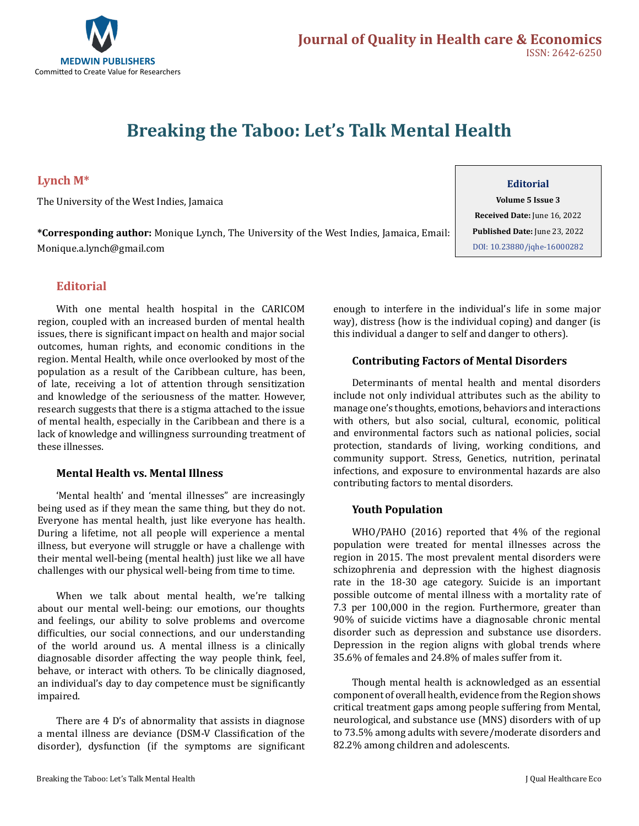

# **Breaking the Taboo: Let's Talk Mental Health**

# **Lynch M\***

The University of the West Indies, Jamaica

**\*Corresponding author:** Monique Lynch, The University of the West Indies, Jamaica, Email: Monique.a.lynch@gmail.com

## **Editorial**

With one mental health hospital in the CARICOM region, coupled with an increased burden of mental health issues, there is significant impact on health and major social outcomes, human rights, and economic conditions in the region. Mental Health, while once overlooked by most of the population as a result of the Caribbean culture, has been, of late, receiving a lot of attention through sensitization and knowledge of the seriousness of the matter. However, research suggests that there is a stigma attached to the issue of mental health, especially in the Caribbean and there is a lack of knowledge and willingness surrounding treatment of these illnesses.

## **Mental Health vs. Mental Illness**

'Mental health' and 'mental illnesses" are increasingly being used as if they mean the same thing, but they do not. Everyone has mental health, just like everyone has health. During a lifetime, not all people will experience a mental illness, but everyone will struggle or have a challenge with their mental well-being (mental health) just like we all have challenges with our physical well-being from time to time.

When we talk about mental health, we're talking about our mental well-being: our emotions, our thoughts and feelings, our ability to solve problems and overcome difficulties, our social connections, and our understanding of the world around us. A mental illness is a clinically diagnosable disorder affecting the way people think, feel, behave, or interact with others. To be clinically diagnosed, an individual's day to day competence must be significantly impaired.

There are 4 D's of abnormality that assists in diagnose a mental illness are deviance (DSM-V Classification of the disorder), dysfunction (if the symptoms are significant **Editorial**

**Volume 5 Issue 3 Received Date:** June 16, 2022 **Published Date:** June 23, 2022 [DOI: 10.23880/jqhe-16000282](https://doi.org/10.23880/jqhe-16000282)

enough to interfere in the individual's life in some major way), distress (how is the individual coping) and danger (is this individual a danger to self and danger to others).

#### **Contributing Factors of Mental Disorders**

Determinants of mental health and mental disorders include not only individual attributes such as the ability to manage one's thoughts, emotions, behaviors and interactions with others, but also social, cultural, economic, political and environmental factors such as national policies, social protection, standards of living, working conditions, and community support. Stress, Genetics, nutrition, perinatal infections, and exposure to environmental hazards are also contributing factors to mental disorders.

#### **Youth Population**

WHO/PAHO (2016) reported that 4% of the regional population were treated for mental illnesses across the region in 2015. The most prevalent mental disorders were schizophrenia and depression with the highest diagnosis rate in the 18-30 age category. Suicide is an important possible outcome of mental illness with a mortality rate of 7.3 per 100,000 in the region. Furthermore, greater than 90% of suicide victims have a diagnosable chronic mental disorder such as depression and substance use disorders. Depression in the region aligns with global trends where 35.6% of females and 24.8% of males suffer from it.

Though mental health is acknowledged as an essential component of overall health, evidence from the Region shows critical treatment gaps among people suffering from Mental, neurological, and substance use (MNS) disorders with of up to 73.5% among adults with severe/moderate disorders and 82.2% among children and adolescents.